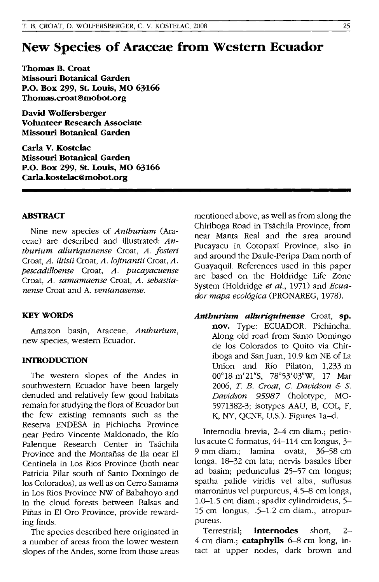# **New Species of Araceae from Western Ecuador**

**Thomas B. Croat Missouri Botanical Garden P.O. Box 299, St. Louis, MO 63'166 Thomas.croat@mobot.org** 

**David Wolfersberger Volunteer Research Associate Missouri Botanical Garden** 

**Carla v. Kostelac Missouri Botanical Garden P.O. Box 299, St. Louis, MO 63166 Carla.kostelac@mobot.org** 

#### **ABSTRACT**

Nine new species of *Anthurium* (Araceae) are described and illustrated: *Anthurium alluriquinense* Croat, *A. Josteri*  Croat, *A. iltisii* Croat, *A. lojtnantii* Croat, *A. pescadilloense* Croat, *A. pucayacuense*  Croat, *A. samamaense* Croat, *A. sebastianense* Croat and A. *ventanasense.* 

#### **KEY WORDS**

Amazon basin, Araceae, *Anthurium,*  new species, western Ecuador.

### **INTRODUCTION**

The western slopes of the Andes in southwestern Ecuador have been largely denuded and relatively few good habitats remain for studying the flora of Ecuador but the few existing remnants such as the Reserva ENDESA in Pichincha Province near Pedro Vincente Maldonado, the Rio Palenque Research Center in Tsáchila Province and the Montafias de Ila near EI Centinela in Los Rios Province (both near Patricia Pilar south of Santo Domingo de los Colorados), as well as on Cerro Samama in Los Rios Province NW of Babahoyo and in the cloud forests between Balsas and Piñas in El Oro Province, provide rewarding finds.

The species described here originated in a number of areas from the lower western slopes of the Andes, some from those areas mentioned above, as well as from along the Chiriboga Road in Tsachila Province, from near Manta Real and the area around Pucayacu in Cotopaxi Province, also in and around the Daule-Peripa Dam north of Guayaquil. References used in this paper are based on the Holdridge Life Zone System (Holdridge *et al.,* 1971) and *Ecuador mapa ecol6gica* (PRONAREG, 1978).

*Anthurium alluriquinense* Croat, **sp. nov.** Type: ECUADOR. Pichincha. Along old road from Santo Domingo de los Colorados to Quito via Chiriboga and San Juan, 10.9 km NE of La Union and Rio Pilaton, 1,233 m 00°18 m'21"S, 78°53'03"W, 17 Mar 2006, T. *B. Croat,* C. *Davidson* & S. *Davidson* 95987 (holotype, MO-5971382-3; isotypes AAU, B, COL, F, K, NY, QCNE, U.S.). Figures 1a-d.

Internodia brevia, 2-4 em diam.; petiolus acute C-formatus, 44-114 em longus, 3- 9 mm diam.; lamina ovata, 36-58 em longa, 18-32 em lata; nervis basales liber ad basim; pedunculus 25-57 em longus; spatha palide viridis vel alba, suffusus marroninus vel purpureus, 4.5-8 em longa, 1.0-1.5 em diam.; spadix cylindroideus, 5- 15 em longus, .5-1.2 em diam., atropurpureus.

Terrestrial; **internodes** short, 2- 4 em diam.; **cataphylls** 6-8 em long, intact at upper nodes, dark brown and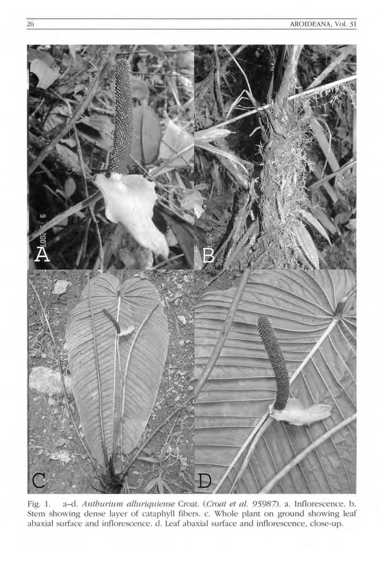

Fig. 1. a-d. Anthurium alluriquiense Croat. (Croat et al. 95987). a. Inflorescence. b. Stem showing dense layer of cataphyll fibers. c. Whole plant on ground showing leaf abaxial surface and inflorescence. d. Leaf abaxial surface and inflorescence, close-up.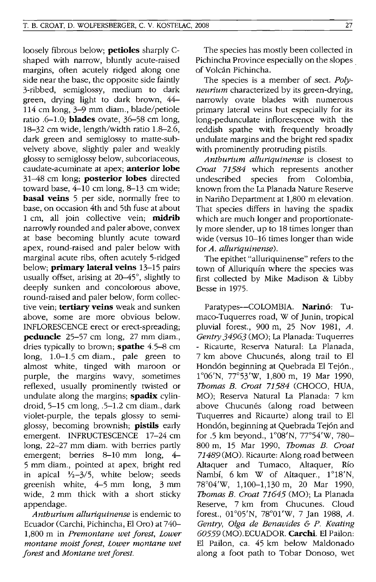loosely fibrous below; petioles sharply Cshaped with narrow, bluntly acute-raised margins, often acutely ridged along one side near the base, the opposite side faintly 3-ribbed, semiglossy, medium to dark green, drying light to dark brown, 44- 114 cm long, 3-9 mm diam., blade/petiole ratio .6-1.0; **blades** ovate,  $36-58$  cm long, 18-32 cm wide, length/width ratio 1.8-2.6, dark green and semiglossy to matte-subvelvety above, slightly paler and weakly glossy to semiglossy below, subcoriaceous, caudate-acuminate at apex; anterior lobe 31-48 cm long; **posterior lobes** directed toward base, 4-10 cm long, 8-13 cm wide; **basal veins** 5 per side, normally free to base, on occasion 4th and 5th fuse at about 1 cm, all join collective vein; midrib narrowly rounded and paler above, convex at base becoming bluntly acute toward apex, round-raised and paler below with marginal acute ribs, often acutely 5-ridged below; **primary lateral veins** 13-15 pairs usually offset, arising at  $20-45^\circ$ , slightly to deeply sunken and concolorous above, round-raised and paler below, form collective vein; tertiary veins weak and sunken above, some are more obvious below. INFLORESCENCE erect or erect-spreading; peduncle 25-57 cm long, 27 mm diam., dries typically to brown; **spathe** 4.5–8 cm long, 1.0-1.5 cm diam., pale green to almost white, tinged with maroon or purple, the margins wavy, sometimes reflexed, usually prominently twisted or undulate along the margins; spadix cylindroid, 5-15 cm long, .5-1.2 cm diam., dark violet-purple, the tepals glossy to semiglossy, becoming brownish; pistils early emergent. INFRUCTESCENCE 17-24 cm long, 22-27 mm diam. with berries partly emergent; berries 8–10 mm long, 4– 5 mm diam., pointed at apex, bright red in apical *Y2-3/5,* white below; seeds greenish white, 4-5 mm long, 3 mm wide, 2 mm thick with a short sticky appendage.

*Anthurium alluriquinense* is endemic to Ecuador (Carchi, Pichincha, El Oro) at 740- 1,800 m in *Premontane wet forest, Lower montane moist forest, Lower montane wet forest* and *Montane wet forest.* 

The species has mostly been collected in Pichincha Province especially on the slopes. of Volcan Pichincha.

The species is a member of sect. *Polyneurium* characterized by its green-drying, narrowly ovate blades with numerous primary lateral veins but especially for its long-pedunculate inflorescence with the reddish spathe with frequently broadly undulate margins and the bright red spadix with prominently protruding pistils.

*Anthurium alluriquinense* is closest to *Croat* 71584 which represents another undescribed species from Colombia, known from the La Planada Nature Reserve in Nariño Department at 1,800 m elevation. That species differs in having the spadix which are much longer and proportionately more slender, up to 18 times longer than wide (versus 10-16 times longer than wide for *A. alluriquinense).* 

The epithet "alluriquinense" refers to the town of Alluriquín where the species was first collected by Mike Madison & Libby Besse in 1975.

Paratypes-COLOMBIA. Narinó: Tumaco-Tuquerres road, W of Junin, tropical pluvial forest., 900 m, 25 Nov 1981, *A. Gentry* 34963 (MO); La Planada: Tuquerres - Ricaurte, Reserva Natural: La Planada, 7 km above Chucunés, along trail to El Hond6n beginning at Quebrada El Tej6n., 1°06'N, 77°53'W, 1,800 m, 19 Mar 1990, *Thomas B. Croat* 71584 (CHOCO, HUA, MO); Reserva Natural La Planada: 7 km above Chucunés (along road between Tuquerres and Ricaurte) along trail to El Hond6n, beginning at Quebrada Tej6n and for .5 km beyond.,  $1^{\circ}08'$ N,  $77^{\circ}54'$ W,  $780-$ 800 m, 15 Mar 1990, *Thomas B. Croat*  71489 (MO). Ricaurte: Along road between Altaquer and Tumaco, Altaquer, Rio Nambf, 6 km W of Altaquer., 1°18'N, 78°04'W, 1,100-1,130 m, 20 Mar 1990, *Thomas B. Croat* 71645 (MO); La Planada Reserve, 7 km from Chucunes. Cloud forest., 01°05'N, 78°01 'w, 7 Jan 1988, *A. Gentry, Olga de Benavides* & *P. Keating*  60559 (MO).ECUADOR. Carchi. El Pailon: El Pailon, ca. 45 km below Maldonado along a foot path to Tobar Donoso, wet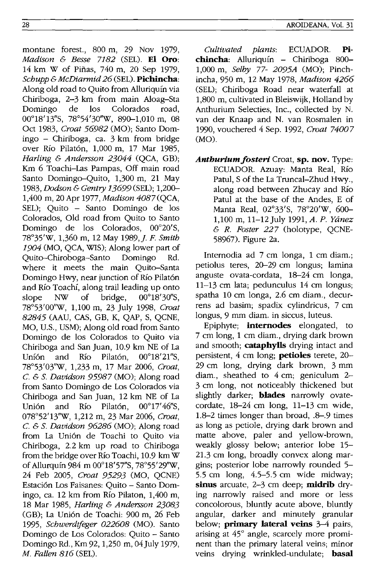montane forest., 800 m, 29 Nov 1979, *Madison* & *Besse* 7182 (SEL). **EI Oro:**  14 km W of Pinas, 740 m, 20 Sep 1979, *Schupp* & *McDiarmid* 26 (SEL). **Pichincha:**  Along old road to Quito from Alluriquin via Chiriboga, 2-3 km from main Aloag-Sta Domingo de los Colorados road, 00°18'13"S, 78°54'30"W, 890-1,010 m, 08 Oct 1983, *Croat* 56982 (MO); Santo Domingo - Chiriboga, ca. 3 km from bridge over Río Pilatón, 1,000 m, 17 Mar 1985, *Harling* & *Andersson 23044* (QCA, GB); Km 6 Toachi-Las Pampas, Off main road Santo Domingo-Quito, 1,300 m, 21 May *1983, Dodson* & *Gentry* 13699 (SEL); 1,200-- 1,400 m, 20 Apr 1977, *Madison 4087* (QCA, SEL); Quito - Santo Domingo de los Colorados, Old road from Quito to Santo Domingo de los Colorados, 00°20'S, 78°35'W, 1,360 m, 12 May 1989,]. F. *Smith 1904* (MO, QCA, WlS); Along lower part of Quito-Chiroboga-Santo Domingo Rd. where it meets the main Quito-Santa Domingo Hwy, near junction of Río Pilatón and Río Toachí, along trail leading up onto slope NW of bridge,  $00^{\circ}18'30''$ S, 78°53'00"W, 1,100 m, 23 July 1998, *Croat*  82845 (AAU, CAS, GB, K, QAP, S, QCNE, MO, U.S., USM); Along old road from Santo Domingo de los Colorados to Quito via Chiriboga and San Juan, 10.9 km NE of La Unión and Río Pilatón,  $00^{\circ}18'21''S$ , 78°53'03"W, 1,233 m, 17 Mar 2006, *Croat,*  C. & S. *Davidson* 95987 (MO); Along road from Santo Domingo de Los Colorados via Chiriboga and San Juan, 12 km NE of La Unión and Río Pilatón, 00°17'46"S, 078°52' 13"W, 1,212 m, 23 Mar 2006, *Croat,*  C. & S. *Davidson* 96286 (MO); Along road from La Unión de Toachi to Quito via Chiriboga, 2.2 km up road to Chiriboga from the bridge over Rio Toachi, 10.9 km W of Allurquín 984 m 00°18'57"S, 78°55'29"W, 24 Feb 2005, *Croat* 95293 (MO, QCNE) Estación Los Faisanes: Quito - Santo Domingo, ca. 12 km from Rio Pilaton, 1,400 m, 18 Mar 1985, *Harling* & *Andersson 23083*  (GB); La Unión de Toachi: 900 m, 26 Feb *1995, Schwerdtfeger 022608* (MO). Santo Domingo de Los Colorados: Quito - Santo Domingo Rd., Km 92,1,250 m, 04July 1979, *M. Fallen* 816 (SEL).

*Cultivated plants:* ECUADOR. **Pichincha:** Alluriquin - Chiriboga 800-- 1,000 m, *Selby* 77- *2095A* (MO); Pinchincha, 950 m, 12 May 1978, *Madison 4266*  (SEL); Chiriboga Road near waterfall at 1,800 m, cultivated in Bleiswijk, Holland by Anthurium Selecties, Inc., collected by N. van der Knaap and N. van Rosmalen in 1990, vouchered 4 Sep. 1992, *Croat 74007*  (MO).

*Anthuriumfosteri* Croat, **sp. nov.** Type: ECUADOR. Azuay: Manta Real, Rio Patul, S of the La Truncal-Zhud Hwy., along road between Zhucay and Rio Patul at the base of the Andes, E of Manta Real, 02°33'S, 78°20'W, 600- 1,100 m, 11-12 July 1991, A. P. Yánez & R. *Foster* 227 (holotype, QCNE-58967). Figure 2a.

Internodia ad 7 cm longa, 1 cm diam.; petiolus teres, 20-29 cm longus; lamina anguste ovata-cordata, 18-24 cm longa, 11-13 cm lata; pedunculus 14 cm longus; spatha 10 cm longa, 2.6 cm diam., decurrens ad basim; spadix cylindricus, 7 cm longus, 9 mm diam. in siccus, luteus.

Epiphyte; **internodes** elongated, to 7 cm long, 1 cm diam., drying dark brown and smooth; **cataphylls** drying intact and persistent, 4 cm long; **petioles** terete, 20-- 29 cm long, drying dark brown, 3 mm diam., sheathed to 4 cm; geniculum 2- 3 cm long, not noticeably thickened but slightly darker; **blades** narrowly ovatecordate, 18-24 cm long, 11-13 cm wide, 1.8-2 times longer than broad, .8-.9 times as long as petiole, drying dark brown and matte above, paler and yellow-brown, weakly glossy below; anterior lobe 15- 21.3 cm long, broadly convex along margins; posterior lobe narrowly rounded 5- 5.5 cm long, 4.5-5.5 cm wide midway; **sinus** arcuate, 2-3 cm deep; **midrib** drying narrowly raised and more or less concolorous, bluntly acute above, bluntly angular, darker and minutely granular below; **primary lateral veins** 3-4 pairs, arising at 45° angle, scarcely more prominent than the primary lateral veins; minor veins drying wrinkled-undulate; **basal**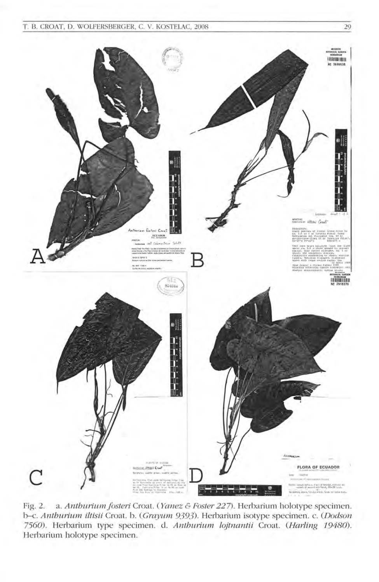T. B. CROAT, D. WOLFERSBERGER, C. V. KOSTELAC, 2008 29



Fig. 2. a. Anthurium fosteri Croat. ( Yanez & Foster 227). Herbarium holotype specimen. b-c. Anthurium iltisii Croat. b. (Grayum 9393). Herbarium isotype specimen. c. (Dodson 7560). Herbarium type specimen. d. Anthurium lojtnantii Croat. (Harling 19480). Herbarium holotype specimen.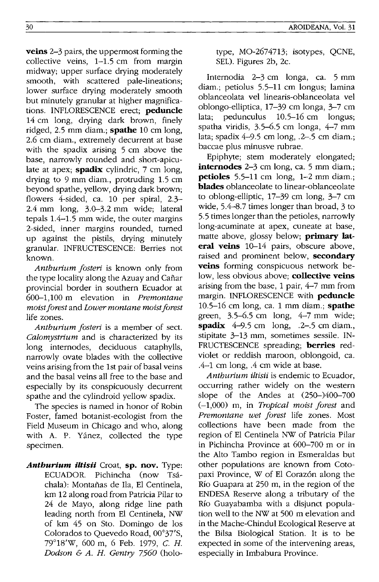**veins** 2-3 pairs, the uppermost forming the collective veins, 1-1.5 cm from margin midway; upper surface drying moderately smooth, with scattered pale-lineations; lower surface drying moderately smooth but minutely granular at higher magnifications. INFLORESCENCE erect; **peduncle**  14 cm long, drying dark brown, finely ridged, 2.5 mm diam.; **spathe** 10 cm long, 2.6 cm diam., extremely decurrent at base with the spadix arising 5 cm above the base, narrowly rounded and short-apiculate at apex; **spadix** cylindric, 7 cm long, drying to 9 mm diam., protruding 1.5 cm beyond spathe, yellow, drying dark brown; flowers 4-sided, ca. 10 per spiral, 2.3- 2.4 mm long, 3.0-3.2 mm wide; lateral tepals 1.4-1.5 mm wide, the outer margins 2-sided, inner margins rounded, turned up against the pistils, drying minutely granular. INFRUCTESCENCE: Berries not known.

*Anthurium fosteri* is known only from the type locality along the Azuay and Cañar provincial border in southern Ecuador at 600-1,100 m elevation in *Premontane moist forest* and *Lower montane moist forest*  life zones.

*Anthurium fosteri* is a member of sect. *Calomystrium* and is characterized by its long internodes, deciduous cataphylls, narrowly ovate blades with the collective veins arising from the 1st pair of basal veins and the basal veins all free to the base and especially by its conspicuously decurrent spathe and the cylindroid yellow spadix.

The species is named in honor of Robin Foster, famed botanist-ecologist from the Field Museum in Chicago and who, along with A. P. Yánez, collected the type specimen.

*Anthurium iltisii* Croat, **sp. nov.** Type: ECUADOR. Pichincha (now Tsachala): Montanas de Ila, El Centinela, km 12 along road from Patricia Pilar to 24 de Mayo, along ridge line path leading north from EI Centinela, NW of km 45 on Sto. Domingo de los Colorados to Quevedo Road, 00°37'S, 79°18'W, 600 m, 6 Feb. 1979, C. *H. Dodson* & *A. H. Gentry 7560* (holotype, MO-2674713; isotypes, QCNE, SEL). Figures 2b, 2c.

Internodia 2-3 cm longa, ca. 5 mm diam.; petiolus 5.5-11 cm longus; lamina oblanceolata vel linearis-oblanceolata vel oblongo-elliptica, 17-39 cm longa, 3-7 cm lata; pedunculus 10.5-16 cm longus; spatha viridis, 3.5-6.5 cm longa, 4-7 mm lata; spadix 4-9.5 cm long, .2-.5 cm diam.; baccae plus minusve mbrae.

Epiphyte; stem moderately elongated; **internodes** 2–3 cm long, ca. 5 mm diam.; **petioles** 5.5-11 cm long, 1-2 mm diam.; **blades** oblanceolate to linear-oblanceolate to oblong-elliptic, 17–39 cm long, 3–7 cm wide, 5.4-8.7 times longer than broad, 3 to 5.5 times longer than the petioles, narrowly long-acuminate at apex, cuneate at base, matte above, glossy below; **primary lat· eral veins** 10-14 pairs, obscure above, raised and prominent below, **secondary veins** forming conspicuous network below, less obvious above; **collective veins**  arising from the base, 1 pair, 4-7 mm from margin. INFLORESCENCE with **peduncle**  10.5-16 cm long, ca. 1 mm diam.; **spathe**  green, 3.5-6.5 cm long, 4-7 mm wide; **spadix** 4-9.5 cm long, .2-.5 cm diam., stipitate 3-13 mm, sometimes sessile. IN-FRUCTESCENCE spreading; **berries** redviolet or reddish maroon, oblongoid, ca. .4-1 cm long, .4 cm wide at base.

*Anthurium iltisii* is endemic to Ecuador, occurring rather widely on the western slope of the Andes at (250-)400-700 (-1,000) m, in *Tropical moist forest* and *Premontane wet forest* life zones. Most collections have been made from the region of EI Centinela NW of Patricia Pilar in Pichincha Province at 600-700 m or in the Alto Tambo region in Esmeraldas but other populations are known from Cotopaxi Province, W of El Corazón along the Río Guapara at 250 m, in the region of the ENDESA Reserve along a tributary of the Río Guayabamba with a disjunct population well to the NW at 500 m elevation and in the Mache-Chindul Ecological Reserve at the Bilsa Biological Station. It is to be expected in some of the intervening areas, especially in Imbabura Province.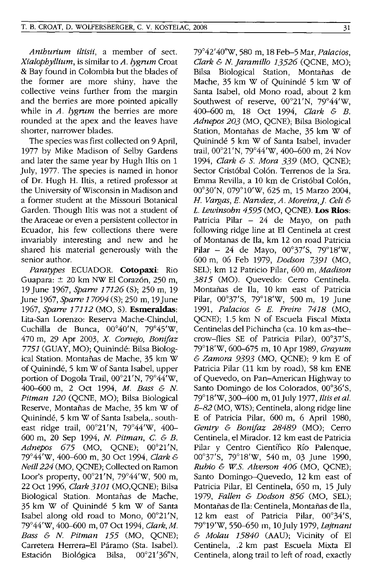*Anthurium iltisii,* a member of sect. *Xialophyllium,* is similar to *A.lygrum* Croat & Bay found in Colombia but the blades of the former are more shiny, have the collective veins further from the margin and the berries are more pointed apically while in *A. lygrum* the berries are more rounded at the apex and the leaves have shorter, narrower blades.

The species was first collected on 9 April, 1977 by Mike Madison of Selby Gardens and later the same year by Hugh Iltis on 1 July, 1977. The species is named in honor of Dr. Hugh H. Iltis, a retired professor at the University of Wisconsin in Madison and a former student at the Missouri Botanical Garden. Though Iltis was not a student of the Araceae or even a persistent collector in Ecuador, his few collections there were invariably interesting and new and he shared his material generously with the senior author.

*Paratypes* ECUADOR. **Cotopaxi:** Rio Guapara: ± 20 km NW El Coraz6n, 250 m, 19 June 1967, *Sparre* 17126 (S); 250 m, 19 June 1967, *Sparre 17094* (S); 250 m, 19 June *1967, Sparre* 17112 (MO, S). **Esmeraldas:**  Lita-San Lorenzo: Reserva Mache-Chindul, Cuchilla de Bunca,  $00^{\circ}40'$ N,  $79^{\circ}45'$ W, 470 m, 29 Apr 2003, X. *Cornejo, Bonijaz*  7751 (GUAY, MO); Quininde: Bilsa Biological Station. Montafias de Mache, 35 km W of Quininde, 5 km W of Santa Isabel, upper portion of Dogola Trail, 00°21'N, 79°44'W, 400-600 m, 2 Oct 1994, *M. Bass* & *N. Pitman 120* (QCNE, MO); Bilsa Biological Reserve, Montafias de Mache, 35 km W of Quininde, 5 km W of Santa Isabela,. southeast ridge trail,  $00^{\circ}21'N$ ,  $79^{\circ}44'W$ ,  $400-$ 600 m, 20 Sep 1994, *N. Pitman,* C. & *B. Adnepos 675* (MO, QCNE); 00°21'N, 79°44'W, 400-600 m, 30 Oct 1994, *Clark* & *Neill* 224 (MO, QCNE); Collected on Ramon Loor's property,  $00^{\circ}21'N$ ,  $79^{\circ}44'W$ , 500 m, 22 Oct 1996, *Clark 3101* (MO,QCNE); Bilsa Biological Station. Montafias de Mache, 35 km W of Quininde 5 km W of Santa Isabel along old road to Mono, 00°21'N, 79°44'W,400-600 m, 07 Oct 1994, *Clark, M. Bass* & *N. Pitman* 155 (MO, QCNE); Carretera Herrera-El Paramo (Sta. Isabel). Estación Biológica Bilsa, 00°21'36"N,

79°42' 40"W, 580 m, 18 Feb-5 Mar, *PalaCios, Clark* & *N. Jaramillo* 13526 (QCNE, MO); Bilsa Biological Station, Montañas de Mache, 35 km W of Quininde 5 km W of Santa Isabel, old Mono road, about 2 km Southwest of reserve,  $00^{\circ}21'N$ ,  $79^{\circ}44'W$ , 400-600 m, 18 Oct 1994, *Clark* & *B. Adnepos 203* (MO, QCNE); Bilsa Biological Station, Montafias de Mache, 35 km W of Quininde 5 km W of Santa Isabel, invader trail,  $00^{\circ}21'N$ ,  $79^{\circ}44'W$ ,  $400-600$  m, 24 Nov *1994, Clark* & S. *Mora* 339 (MO, QCNE); Sector Cristóbal Colón. Terrenos de la Sra. Emma Revilla, a 10 km de Cristóbal Colón, 00°30'N, 079°10'W, 625 m, 15 Marzo 2004, H. *Var.gas, E. Narvaez, A. Moreira,]. Celi* & L. *Lewinsohn* 4595 (MO, QCNE). **Los** Rios: Patricia Pilar - 24 de Mayo, on path following ridge line at El Centinela at crest of Montanas de Iia, km 12 on road Patricia Pilar - 24 de Mayo,  $00^{\circ}37'$ S, 79°18'W, 600 m, 06 Feb 1979, *Dodson* 7391 (MO, SEL); km 12 Patricio Pilar, 600 m, *Madison*  3815 (MO). Quevedo: Cerro Centinela. Montañas de Ila, 10 km east of Patricia Pilar, 00°37'S, 79°18'W, 500 m, 19 June *1991, Palacios* & *E. Freire* 7418 (MO, QCNE); 1.5 km N of Escuela Fiscal Mixta Centinelas del Pichincha (ca. 10 km as-thecrow-flies SE of Patricia Pilar),  $00^{\circ}37'$ S, 79°18'W,600-675 m, 10 Apr 1989, *Grayum*  & *Zamora* 9393 (MO, QCNE); 9 km E of Patricia Pilar (11 km by road), 58 km ENE of Quevedo, on Pan-American Highway to Santo Domingo de los Colorados, 00°36'S, 79°18'W,300-400 m, 01 July *1977,Iltisetal. E-82* (MO, WIS); Centinela, along ridge line E of Patricia Pilar, 600 m, 6 April 1980, *Gentry* & *Bonijaz* 28489 (MO); Cerro Centinela, el Mirador. 12 km east de Patricia Pilar y Centro Científico Río Palenque, 00°37'S, 79°18'W, 540 m, 03 June 1990, *Rubio* & *w.s. Alverson 406* (MO, QCNE); Santo Domingo-Quevedo, 12 km east of Patricia Pilar, El Centinela, 650 m, 15 July *1979, Fallen* & *Dodson* 856 (MO, SEL); Montafias de Iia: Centinela, Montafias de Iia, 12 km east of Patricia Pilar,  $00^{\circ}34'$ S, 79°19'W, 550-650 m, 10July 1979, *L0jtnant*  & *Molau 15840* (AAU); Vicinity of El Centinela, .2 km past Escuela Mixta El Centinela, along trail to left of road, exactly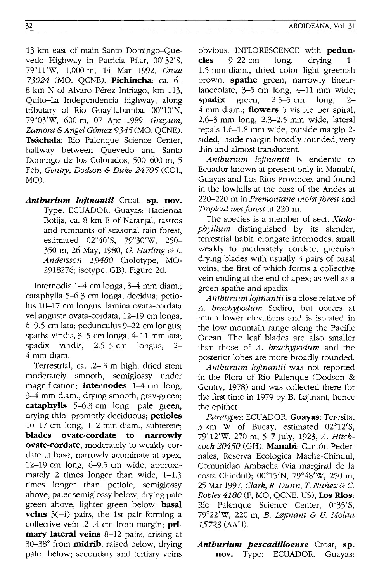MO).

13 km east of main Santo Domingo-Quevedo Highway in Patricia Pilar, 00°32'S, 79°11'W, 1,000 m, 14 Mar 1992, *Croat 73024* (MO, QCNE). **Pichincha:** ca. 6- 8 km N of Alvaro Pérez Intriago, km 113, Quito-La Independencia highway, along tributary of Río Guayllabamba, 00°10'N, 79°03'W, 600 m, 07 Apr 1989, *Grayum, Zamora* & *Angel G6mez* 9345 (MO, QCNE). **Tsacbala:** Rio Palenque Science Center, halfway between Quevedo and Santo Domingo de los Colorados, 500-600 m, 5 Feb, *Gentry, Dodson* & *Duke 24705* (COL,

*Anthurium lojtnantii* Croat, sp. nov. Type: ECUADOR. Guayas: Hacienda Botija, ca. 8 km E of Naranjal, rastros and remnants of seasonal rain forest, estimated 02°40'S, 79°30'W, 250- 350 m, 26 May, 1980, G. *Harling* & *L. Andersson 19480* (holotype, MO-2918276; isotype, GB). Figure 2d.

Internodia 1-4 cm longa, 3-4 mm diam.; cataphylla 5-6.3 cm longa, decidua; petiolus 10-17 cm longus; lamina ovata-cordata vel anguste ovata-cordata, 12-19 cm longa, 6-9.5 cm lata; pedunculus 9-22 cm longus; spatha viridis, 3-5 cm longa, 4-11 mm lata; spadix viridis, 2.5-5 cm longus, 2- 4 mm diam.

Terrestrial, ca. .2-.3 m high; dried stem moderately smooth, semiglossy under magnification; **internodes** 1-4 cm long, 3-4 mm diam., drying smooth, gray-green; **cataphylls** 5-6.3 cm long, pale green, drying thin, promptly deciduous; **petioles**  10-17 cm long, 1-2 mm diam., subterete; **blades ovate-cordate to narrowly ovate-cordate,** moderately to weakly cordate at base, narrowly acuminate at apex, 12-19 cm long, 6-9.5 cm wide, approximately 2 times longer than wide, 1-1.3 times longer than petiole, semiglossy above, paler semiglossy below, drying pale green above, lighter green below; **basal veins** 3(-4) pairs, the 1st pair forming a collective vein .2-.4 cm from margin; **primary lateral veins** 8-12 pairs, arising at 30-38° from **midrib,** raised below, drying paler below; secondary and tertiary veins obvious. INFLORESCENCE with **peduncles** 9-22 cm long, drying 1- 1.5 mm diam., dried color light greenish brown; **spathe** green, narrowly linearlanceolate,  $3-5$  cm long,  $4-11$  mm wide;<br>**spadix** green.  $2.5-5$  cm long.  $2$ **spadix** green, 2.5-5 cm long, 2- 4 mm diam.; **flowers** 5 visible per spiral, 2.6-3 mm long, 2.3-2.5 mm wide, lateral

tepals 1.6-1.8 mm wide, outside margin 2 sided, inside margin broadly rounded, very thin and almost translucent. *Anthurium lojtnantii* is endemic to

Ecuador known at present only in Manabi, Guayas and Los Rios Provinces and found in the low hills at the base of the Andes at 220-220 m in *Premontane moist forest* and *Tropical wet forest* at 220 m.

The species is a member of sect. *Xialophyllium* distinguished by its slender, terrestrial habit, elongate internodes, small weakly to moderately cordate, greenish drying blades with usually 3 pairs of basal veins, the first of which forms a collective vein ending at the end of apex; as well as a green spathe and spadix.

*Anthurium lojtnantii* is a close relative of A. *brachypodum* Sodiro, but occurs at much lower elevations and is isolated in the low mountain range along the Pacific Ocean. The leaf blades are also smaller than those of *A. brachypodum* and the posterior lobes are more broadly rounded.

*Anthurium lojtnantii* was not reported in the Flora of Rio Palenque (Dodson & Gentry, 1978) and was collected there for the first time in 1979 by B. Løjtnant, hence the epithet

*Paratypes:* ECUADOR. **Guayas:** Teresita, 3 km W of Bucay, estimated 02°12'S, 79°12'W, 270 m, 5-7 July, 1923, *A. Hitchcock 20450* (GH). **Manabi:** Cant6n Pedernales, Reserva Ecologica Mache-Chindul, Comunidad Ambacha (via marginal de la costa-Chindul); 00°15'N, 79°48'W, 250 m, 25 Mar 1997, *Clark, R. Dunn,* T. *Nunez* & C. *Robles 4180* (F, MO, QCNE, US); **Los Rios:**  Río Palenque Science Center, 0°35'S, 79°22'W, 220 m, *B. LflJjtnant* & *U. Molau*  15723 (AAU).

## *Anthurium pescadiUoense* Croat, **sp. nov.** Type: ECUADOR. Guayas: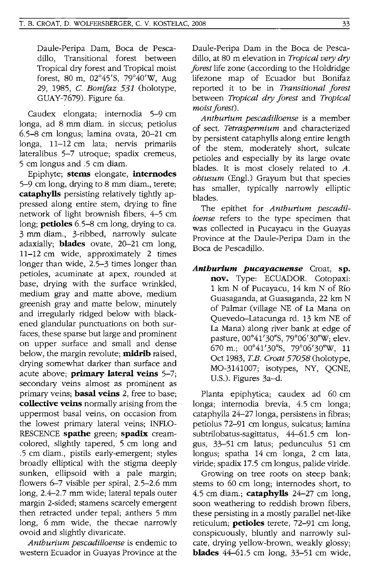Daule-Peripa Dam, Boca de Pescadillo, Transitional forest between Tropical dry forest and Tropical moist forest, 80 m, 02°45'S, 79°40'W, Aug 29, 1985, C. *Bonijaz* 531 (holotype, GUAY-7679). Figure 6a.

Caudex elongata; internodia 5-9 cm longa, ad 8 mm diam. in siccus; petiolus 6.5-8 cm longus; lamina ovata, 20-21 cm longa, 11-12 cm lata; nervis primariis lateralibus 5-7 utroque; spadix cremeus, 5 cm longus and .5 cm diam.

Epiphyte; **stems** elongate, **internodes**  5-9 cm long, drying to 8 mm diam., terete; **cataphylls** persisting relatively tightly appressed along entire stem, drying to fine network of light brownish fibers, 4-5 cm long; **petioles** 6.5-8 cm long, drying to ca. 3 mm diam., 3-ribbed, narrowly sulcate adaxially; **blades** ovate, 20-21 cm long, 11-12 cm wide, approximately 2 times longer than wide, 2.5-3 times longer than petioles, acuminate at apex, rounded at base, drying with the surface wrinkled, medium gray and matte above, medium greenish gray and matte below, minutely and irregularly ridged below with blackened glandular punctuations on both surfaces, these sparse but large and prominent on upper surface and small and dense below, the margin revolute; **midrib** raised, drying somewhat darker than surface and acute above; **primary lateral veins** 5-7; secondary veins almost as prominent as primary veins; **basal veins** 2, free to base; **collective veins** normally arising from the uppermost basal veins, on occasion from the lowest primary lateral veins; INFLO-RESCENCE **spathe** green; **spadix** creamcolored, slightly tapered, 5 cm long and .5 cm diam., pistils early-emergent; styles broadly elliptical with the stigma deeply sunken, ellipsoid with a pale margin; flowers 6-7 visible per spiral, 2.5-2.6 mm long, 2.4-2.7 mm wide; lateral tepals outer margin 2-sided; stamens scarcely emergent then retracted under tepal; anthers 5 mm long, 6 mm wide, the thecae narrowly ovoid and slightly divaricate.

*Antburium pescadilloense* is endemic to western Ecuador in Guayas Province at the

Daule-Peripa Dam in the Boca de Pescadillo, at 80 m elevation in *Tropical very dry forest* life zone (according to the Holdridge lifezone map of Ecuador but Bonifaz reported it to be in *Transitional forest*  between *Tropical dry forest* and *Tropical moist forest).* 

*Antburium pescadilloense* is a member of sect. *Tetraspermium* and characterized by persistent cataphylls along entire length of the stem, moderately short, sulcate petioles and especially by its large ovate blades. It is most closely related to *A. obtusum* (Eng!.) Grayum but that species has smaller, typically narrowly elliptic blades.

The epithet for *Antburium pescadilloense* refers to the type specimen that was collected in Pucayacu in the Guayas Province at the Daule-Peripa Dam in the Boca de Pescadillo.

*Anthurlum pucayacuense* Croat, **sp. nov.** Type: ECUADOR. Cotopaxi: 1 km N of Pucayacu, 14 km N of Rio Guasaganda, at Guasaganda, 22 km N of Palmar (village NE of La Mana on Quevedo-Latacunga rd. 13 km NE of La Mana) along river bank at edge of pasture, 00°41'30"S, 79°06'30"W; elev. 670 m.; 00°41'30"S, 79°06'30"W, 11 Oct 1983, *T.B. Croat 57058* (holotype, MO-3141007; isotypes, NY, QCNE, U.S.). Figures 3a-d.

Planta epiphytica; caudex ad 60 cm longa; internodia brevia, 4.5 cm longa; cataphylla 24-27 longa, persistens in fibras; petiolus 72-91 cm longus, sulcatus; lamina subtrilobatus-sagittatus, 44-61.5 cm longus, 33-51 cm latus; pedunculus 51 cm longus; spatha 14 cm longa, 2 cm lata, viride; spadix 17.5 cm longus, palide viride.

Growing on tree roots on steep bank; sterns to 60 cm long; internodes short, to 4.5 cm diam.; **cataphylls** 24-27 cm long, soon weathering to reddish brown fibers, these persisting in a mostly parallel net-like reticulum; **petioles** terete, 72-91 cm long, conspicuously, bluntly and narrowly sulcate, drying yellow-brown, weakly glossy; **blades** 44-61.5 cm long, 33-51 cm wide,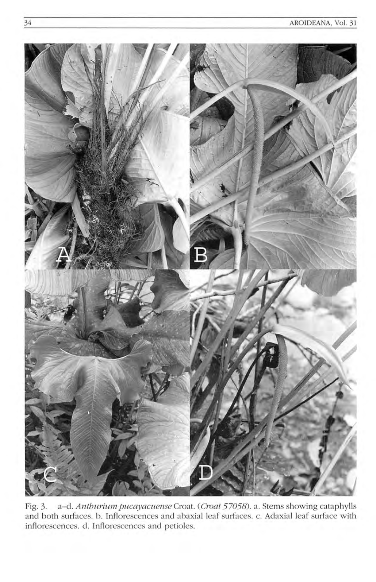

Fig. 3. a-d. *Anthurium pucayacuense Croat. (Croat 57058)*. a. Stems showing cataphylls and both surfaces. b. Inflorescences and abaxial leaf surfaces. c. Adaxial leaf surface with inflorescences. d. Inflorescences and petioles.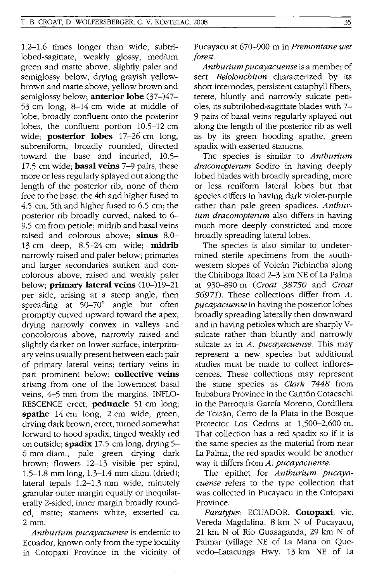1.2-1.6 times longer than wide, subtrilobed-sagittate, weakly glossy, medium green and matte above, slightly paler and semiglossy below, drying grayish yellowbrown and matte above, yellow brown and semiglossy below; **anterior lobe** (37-)47- 53 cm long, 8-14 cm wide at middle of lobe, broadly confluent onto the posterior lobes, the confluent portion 10.5-12 cm wide; **posterior lobes** 17-26 cm long, subreniform, broadly rounded, directed toward the base and incurled, 10.5- 17.5 cm wide; **basal veins** 7-9 pairs, these more or less regularly splayed out along the length of the posterior rib, none of them free to the base. the 4th and higher fused to 4.5 cm, 5th and higher fused to 6.5 cm; the posterior rib broadly curved, naked to 6- 9.5 cm from petiole; midrib and basal veins raised and colorous above; **sinus** 8.0- 13 cm deep, 8.5-24 cm wide; **midrib**  narrowly raised and paler below; primaries and larger secondaries sunken and concolorous above, raised and weakly paler below; **primary lateral veins** (10-)19-21 per side, arising at a steep angle, then spreading at 50-70° angle but often promptly curved upward toward the apex, drying narrowly convex in valleys and concolorous above, narrowly raised and slightly darker on lower surface; interprimary veins usually present between each pair of primary lateral veins; tertiary veins in part prominent below; **collective veins**  arising from one of the lowermost basal veins, 4-5 mm from the margins. INFLO-RESCENCE erect; **peduncle** 51 cm long; **spathe** 14 cm long, 2 cm wide, green, drying dark brown, erect, turned somewhat forward to hood spadix, tinged weakly red on outside; **spadix** 17.5 cm long, drying 5- 6 mm diam., pale green drying dark brown; flowers 12-13 visible per spiral, 1.5-1.8 mm long, 1.3-1.4 mm diam. (dried); lateral tepals 1.2-1.3 mm wide, minutely granular outer margin equally or inequilaterally 2-sided, inner margin broadly rounded, matte; stamens white, exserted ca. 2mm.

*Antburium pucayacuense* is endemic to Ecuador, known only from the type locality in Cotopaxi Province in the vicinity of

Pucayacu at 670-900 m in *Premontane wet forest.* 

*Antburium pucayacuense* is a member of sect. *Beloloncbium* characterized by its short internodes, persistent cataphyll fibers, terete, bluntly and narrowly sulcate petioles, its subtrilobed-sagittate blades with 7- 9 pairs of basal veins regularly splayed out along the length of the posterior rib as well as by its green hooding spathe, green spadix with exserted stamens.

The species is similar to *Antburium draconopterum* Sodiro in having deeply lobed blades with broadly spreading, more or less reniform lateral lobes but that species differs in having dark violet-purple rather than pale green spadices. *Antburium draconopterum* also differs in having much more deeply constricted and more broadly spreading lateral lobes.

The species is also similar to undetermined sterile specimens from the southwestern slopes of Volcán Pichincha along the Chiriboga Road 2-3 km NE of La Palma at 930-890 m *(Croat 38750* and *Croat*  56971). These collections differ from *A. pucayacuense* in having the posterior lobes broadly spreading laterally then downward and in having petioles which are sharply Vsulcate rather than bluntly and narrowly sulcate as in *A. pucayacuense.* This may represent a new species but additional studies must be made to collect inflorescences. These collections may represent the same species as *Clark* 7448 from Imbabura Province in the Cantón Cotacachi in the Parroquia García Moreno, Cordillera de Toisan, Cerro de la Plata in the Bosque Protector Los Cedros at 1,500-2,600 m. That collection has a red spadix so if it is the same species as the material from near La Palma, the red spadix would be another way it differs from *A. pucayacuense.* 

The epithet for *Antburium pucayacuense* refers to the type collection that was collected in Pucayacu in the Cotopaxi Province.

*Paratypes:* ECUADOR. **Cotopaxi:** vic. Vereda Magdalina, 8 km N of Pucayacu, 21 km N of Rio Guasaganda, 29 km N of Palmar (village NE of La Mana on Quevedo-Latacunga Hwy. 13 km NE of La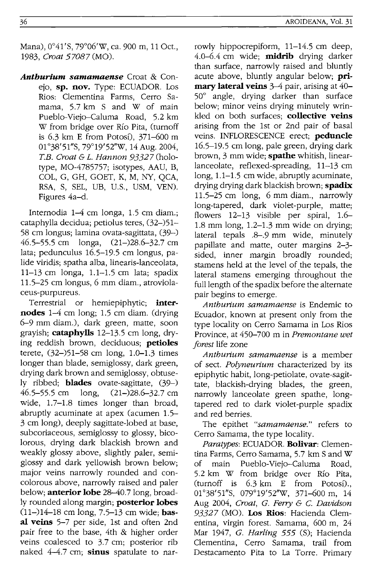Mana), 0°41'S, 79°06'W, ca. 900 m, 11 Oct., *1983, Croat 57087* (MO).

*Anthurium samamaense* Croat & Conejo, **sp. nov.** Type: ECUADOR. Los Rios: Clementina Farms, Cerro Samama, 5.7 km S and W of main Pueblo-Viejo-Caluma Road, 5.2 km W from bridge over Rio Pita, (turnoff is  $6.3$  km E from Potosi),  $371-600$  m 01°38'51"S, 79°19'52''W, 14 Aug. 2004, *T.E. Croat* & 1. *Hannon* 93327 (holotype, MO-4785757; isotypes, AAU, B, COL, G, GH, GOET, K, M, NY, QCA, RSA, S, SEL, UB, U.S., USM, YEN). Figures 4a-d.

Internodia 1-4 cm longa, 1.5 cm diam.; cataphylla decidua; petiolus teres, (32-)51- 58 cm longus; lamina ovata-sagittata, (39-) 46.5-55.5 cm longa, (21-)28.6-32.7 cm lata; pedunculus 16.5-19.5 cm longus, palide viridis; spatha alba, linearis-lanceolata, 11-13 cm longa, 1.1-1.5 cm lata; spadix 11.5-25 cm longus, 6 mm diam., atroviolaceus-purpureus.

Terrestrial or hemiepiphytic; **internodes** 1-4 cm long; 1.5 cm diam. (drying 6-9 mm diam.), dark green, matte, soon grayish; **cataphylls** 12-13.5 cm long, drying reddish brown, deciduous; **petioles**  terete, (32-)51-58 cm long, 1.0-1.3 times longer than blade, semiglossy, dark green, drying dark brown and semiglossy, obtusely ribbed; **blades** ovate-sagittate, (39-) 46.5-55.5 cm long, (21-)28.6-32.7 cm wide, 1.7-1.8 times longer than broad, abruptly acuminate at apex (acumen 1.5- 3 cm long), deeply sagittate-lobed at base, subcoriaceous, semiglossy to glossy, bicolorous, drying dark blackish brown and weakly glossy above, slightly paler, semiglossy and dark yellowish brown below; major veins narrowly rounded and concolorous above, narrowly raised and paler below; **anterior lobe** 28-40.7 long, broadly rounded along margin; **posterior lobes**  (11-)14-18 cm long, 7.5-13 cm wide; **basal veins** 5-7 per side, 1st and often 2nd pair free to the base, 4th & higher order veins coalesced to 3.7 cm; posterior rib naked 4-4.7 em; **sinus** spatulate to narrowly hippocrepiform, 11-14.5 em deep, 4.0-6.4 cm wide; **midrib** drying darker than surface, narrowly raised and bluntly acute above, bluntly angular below; **primary lateral veins** 3-4 pair, arising at 40- 50° angle, drying darker than surface below; minor veins drying minutely wrinkled on both surfaces; **collective veins**  arising from the 1st or 2nd pair of basal veins. INFLORESCENCE erect; **peduncle**  16.5-19.5 cm long, pale green, drying dark brown, 3 mm wide; **spathe** whitish, linearlanceolate, reflexed-spreading, 11-13 cm long, 1.1–1.5 cm wide, abruptly acuminate, drying drying dark blackish brown; **spadix**  11.5-25 cm long, 6 mm diam., narrowly long-tapered, dark violet-purple, matte; flowers 12-13 visible per spiral, 1.6- 1.8 mm long, 1.2-1.3 mm wide on drying; lateral tepals .8-.9 mm wide, minutely papillate and matte, outer margins 2-3 sided, inner margin broadly rounded; stamens held at the level of the tepals, the lateral stamens emerging throughout the full length of the spadix before the alternate pair begins to emerge.

*Anthurium samamaense* is Endemic to Ecuador, known at present only from the type locality on Cerro Samama in Los Rios Province, at 450-700 min *Premontane wet forest* life zone

*Anthurium samamaense* is a member of sect. *Polyneurium* characterized by its epiphytic habit, long-petiolate, ovate-sagittate, blackish-drying blades, the green, narrowly lanceolate green spathe, longtapered red to dark Violet-purple spadix and red berries.

The epithet *"samamaense."* refers to Cerro Samama, the type locality.

*Paratypes:* ECUADOR. **Bolivar:** Clementina Farms, Cerro Samama, 5.7 km S and W of main Pueblo-Viejo-Caluma Road, 5.2 km W from bridge over Rio Pita, (turnoff is  $6.3 \text{ km}$  E from Potosi). 01°38'51"S, 079°19'52"W, 371-600 m, 14 Aug 2004, *Croat, G. Ferry* & C. *Davidson*  93327 (MO). **Los Rios:** Hacienda Clementina, virgin forest. Samama, 600 m, 24 Mar 1947, *G. Harling* 555 (S); Hacienda Clementina, Cerro Samama, trail from Destacamento Pita to La Torre. Primary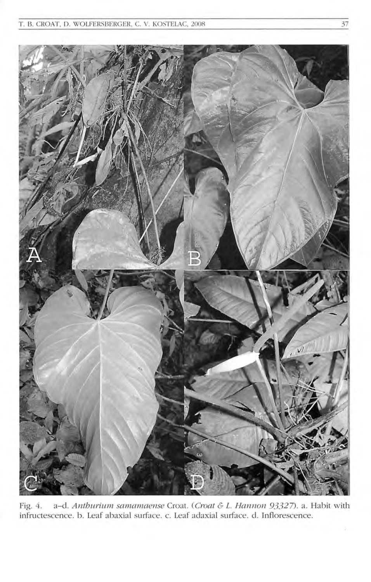

Fig. 4. a-d. *Antburium samamaense* Croar. *(Croat* & L. *Hannon* 93327). a . Habit with infructescence. b. Leaf abaxial surface. c. Leaf adaxial surface. d. Inflorescence.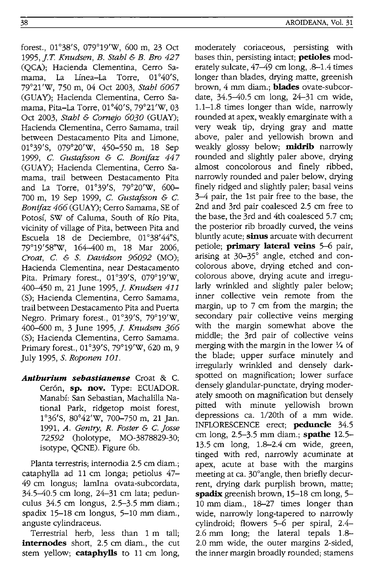forest., 01°38'S, 079°19'w, 600 m, 23 Oct *1995,].* T. *Knudsen, B. Stahl* & *B. Bro 427*  (QCA)j Hacienda Clementina, Cerro Samama, La Línea-La Torre, 01°40'S, 79°21'W, 750 m, 04 Oct 2003, *Stahl 6067*  (GUAY): Hacienda Clementina, Cerro Samama, Pita-La Torre, 01°40'S, 79°21'W, 03 Oct 2003. *Stahl & Cornejo 6030* (GUAY): Hacienda Clementina, Cerro Samama, trail between Destacamento Pita and Limone, 01°39'S, 079°20'W, 450-550 m, 18 Sep 1999, C. *Gustafsson* & c. *Bonijaz 447*  (GUAY): Hacienda Clementina, Cerro Samama, trail between Destacamento Pita and La Torre, 01°39'S, 79°20'W, 600- 700 m, 19 Sep 1999, C. *Gustafsson* & c. *Bonifaz 466 (GUAY)*; Cerro Samama, SE of Potosi, SW of Caluma, South of Rio Pita, vicinity of village of Pita, between Pita and Escuela 18 de Deciembre, 01°38'44"S, 79°19'58''W, 164-400 m, 18 Mar 2006, *Croat, C. & S. Davidson 96092* (MO); Hacienda Clementina, near Destacamento Pita. Primary forest., 01°39'S, 079°19'W, 400-450 m, 21 June 1995,]. *Knudsen 411*  (S): Hacienda Clementina, Cerro Samama, trail between Destacamento Pita and Puerta Negro. Primary forest., 01°39'S, 79°19'W, 400-600 m, 3 June 1995,]. *Knudsen 366*  (S); Hacienda Clementina, Cerro Samama. Primary forest., 01°39'S, 79°19'W, 620 m, 9 July 1995, S. *Roponen 101.* 

*Anthurium sebastianense* Croat & C. Cerón, sp. nov. Type: ECUADOR. Manabi: San Sebastian, Machalilla National Park, ridgetop moist forest, 1°36'S, 80°42'W, 700-750 m, 21 Jan. *1991, A. Gentry, R. Foster* & C. *josse*  72592 (holotype, MO-3878829-30j isotype, QCNE). Figure 6b.

Planta terrestris; internodia 2.5 cm diam.; cataphylla ad 11 cm longa; petiolus  $47-$ 49 cm longus; lamIna ovata-subcordata, 34.5-40.5 cm long, 24-31 cm lata; pedunculus 34.5 cm longus, 2.5-3.5 mm diam.j spadix 15-18 cm longus, 5-10 mm diam., anguste cylindraceus.

Terrestrial herb, less than 1 m tallj **internodes** short, 2.5 cm diam., the cut stem yellowj **cataphylls** to 11 cm long,

moderately coriaceous, persisting with bases thin, persisting intact; **petioles** moderately sulcate, 47-49 cm long, .8-1.4 times longer than blades, drying matte, greenish brown, 4 mm diam.j **blades** ovate-subcordate, 34.5-40.5 cm long, 24-31 cm wide, 1.1-1.8 times longer than wide, narrowly rounded at apex, weakly emarginate with a very weak tip, drying gray and matte above, paler and yellowish brown and weakly glossy belowj **midrib** narrowly rounded and slightly paler above, drying almost concolorous and finely ribbed, narrowly rounded and paler below, drying finely ridged and slightly paler; basal veins 3-4 pair, the 1st pair free to the base, the 2nd and 3rd pair coalesced 2.5 cm free to the base, the 3rd and 4th coalesced 5.7 cm; the posterior rib broadly curved, the veins bluntly acutej **sinus** arcuate with decurrent petiolej **primary lateral veins** 5-6 pair, arising at 30-35° angle, etched and concolorous above, drying etched and concolorous above, drying acute and irregularly wrinkled and slightly paler below; inner collective vein remote from the margin, up to  $7 \text{ cm}$  from the margin; the secondary pair collective veins merging with the margin somewhat above the middlej the 3rd pair of collective veins merging with the margin in the lower *Y4* of the bladej upper surface minutely and irregularly wrinkled and densely darkspotted on magnification; lower surface densely glandular-punctate, drying moderately smooth on magnification but densely pitted with minute yellowish brown depressions ca. 1/20th of a mm wide. INFLORESCENCE erect; **peduncle** 34.5 cm long, 2.5-3.5 mm diam.j **spathe** 12.5- 13.5 cm long, 1.8-2.4 cm wide, green, tinged with red, narrowly acuminate at apex, acute at base with the margins meeting at ca. 30° angle, then briefly decurrent, drying dark purplish brown, matte; **spadix** greenish brown, 15-18 cm long, 5- 10 mm diam., 18-27 times longer than wide, narrowly long-tapered to narrowly cylindroidj flowers 5-6 per spiral, 2.4- 2.6 mm long; the lateral tepals 1.8-2.0 mm wide, the outer margins 2-sided, the inner margin broadly rounded; stamens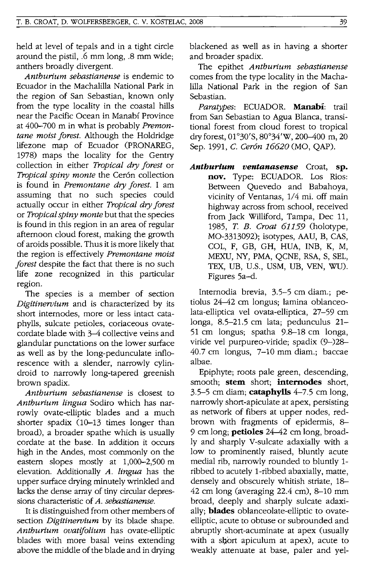held at level of tepals and in a tight circle around the pistil, .6 mm long, .8 mm wide; anthers broadly divergent.

*Antburium sebastianense* is endemic to Ecuador in the Machalilla National Park in the region of San Sebastian, known only from the type locality in the coastal hills near the Pacific Ocean in Manabf Province at 400-700 m in what is probably *Premontane moist forest.* Although the Holdridge lifezone map of Ecuador (PRONAREG, 1978) maps the locality for the Gentry collection in either *Tropical dry forest* or *Tropical spiny monte* the Cer6n collection is found in *Premontane dry forest.* I am assuming that no such species could actually occur in either *Tropical dry forest*  or *Tropical spiny monte* but that the species is found in this region in an area of regular afternoon cloud forest, making the growth of aroids possible. Thus it is more likely that the region is effectively *Premontane moist forest* despite the fact that there is no such life zone recognized in this particular region.

The species is a member of section *Digitinervium* and is characterized by its short internodes, more or less intact cataphylls, sulcate petioles, coriaceous ovatecordate blade with 3-4 collective veins and glandular punctations on the lower surface as well as by the long-pedunculate inflorescence with a slender, narrowly cylindroid to narrowly long-tapered greenish brown spadix.

*Antburium sebastianense* is closest to *Antburium lingua* Sodiro which has narrowly ovate-elliptic blades and a much shorter spadix (10-13 times longer than broad), a broader spathe which is usually cordate at the base. In addition it occurs high in the Andes, most commonly on the eastern slopes mostly at 1,000-2,500 m elevation. Additionally *A. lingua* has the upper surface drying minutely wrinkled and lacks the dense array of tiny circular depressions characteristic of *A. sebastianense.* 

It is distinguished from other members of section *Digitinervium* by its blade shape. *Antburium ovatifolium* has ovate-elliptic blades with more basal veins extending above the middle of the blade and in drying blackened as well as in having a shorter and broader spadix.

The epithet *Antburium sebastianense*  comes from the type locality in the Machalilla National Park in the region of San Sebastian.

*Paratypes:* ECUADOR. **Manabi:** trail from San Sebastian to Agua Blanca, transitional forest from cloud forest to tropical dry forest, 01°30'S, 80°34'W, 200-400 m, 20 Sep. 1991, C. *Ceron 16620* (MO, QAP).

*Anthurlum ventanasense* Croat, **sp. nov.** Type: ECUADOR. Los Rios: Between Quevedo and Babahoya, vicinity of Ventanas, 1/4 mi. off main highway across from school, received from Jack Williford, Tampa, Dec 11, *1985, T. B. Croat* 61159 (holotype, MO-3313092); isotypes, AAU, B, CAS, COL, F, GB, GH, HUA, INB, K, M, MEXU, NY, PMA, QCNE, RSA, S, SEL, TEX, DB, U.S., USM, UB, YEN, WU). Figures 5a-d.

Internodia brevia, 3.5-5 em diam.; petiolus 24-42 em longus; lamina oblanceolata-elliptica vel ovata-elliptica, 27-59 em longa, 8.5-21.5 em lata; pedunculus 21- 51 em longus; spatha 9.8-18 em longa, viride vel purpureo-viride; spadix (9-)28- 40.7 em longus, 7-10 mm diam.; baccae albae.

Epiphyte; roots pale green, descending, smooth; **stem** short; **internodes** short, 3.5-5 em diam; **cataphylls** 4-7.5 em long, narrowly short-apiculate at apex, persisting as network of fibers at upper nodes, redbrown with fragments of epidermis, 8- 9 em long; **petioles** 24-42 em long, broadly and sharply V-sulcate adaxially with a low to prominently raised, bluntly acute medial rib, narrowly rounded to bluntly 1 ribbed to acutely I-ribbed abaxially, matte, densely and obscurely whitish striate, 18- 42 em long (averaging 22.4 em), 8-10 mm broad, deeply and sharply sulcate adaxially; **blades** oblanceolate-elliptic to ovateelliptic, acute to obtuse or subrounded and abruptly short-acuminate at apex (usually with a short apiculum at apex), acute to weakly attenuate at base, paler and yel-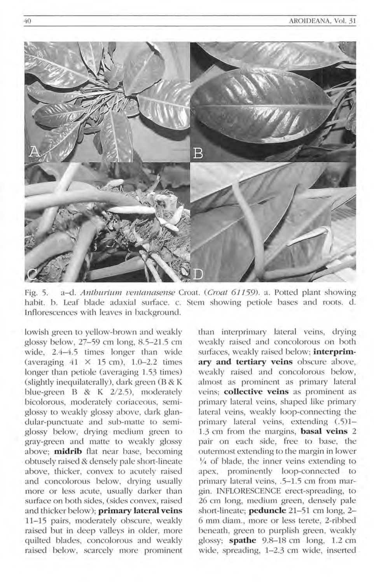

Fig. 5. a-d. Antburium *uenla17asense* Croat. (Croat 61159). a. Potted plant showing habit. b. Leaf blade adaxial surface. c. Stem showing petiole bases and roots. d. Inflorescences with leaves in background.

lowish green to yellow-brown and weakly glossy below, 27-59 cm long, 8.5-21.5 cm wide, 2.4-4.5 times longer than wide (averaging  $41 \times 15$  cm),  $1.0-2.2$  times longer than petiole (averaging 1.53 times) (slightly inequilaterally), dark green (B & K blue-green B & K 2/2.5), moderately bicolorous, moderately coriaceous, semiglossy to weakly glossy above, dark glandular-punctuate and sub-matte to semiglossy below, drying medium green to gray-green and matte to weakly glossy above; **midrib** Ilat near base, becoming obtusely raised & densely pale short-lineate above, thicker, convex to acutely raised and concolorous below, drying usually more or less acute, usually darker than surface on both sides, (sides convex, raised and thicker below); **primary lateral veins** 11-15 pairs, moderately obscure, weakly raised but in deep valleys in older, more quilted blades, concolorous and weakly raised below, scarcely more prominent than interprimary lateral veins, drying weakly raised and concolorous on both surfaces, weakly raised below; *interprim***ary and tertiary veins** obscure above, weakly raised and concolorous below, almost as prominent as primary lateral ve ins; **collective veins** as prominent as primary lateral veins, shaped like primary lateral veins, weakly loop-connecting the primary lateral veins, extending (.5)1-1.3 cm from the margins, **basal veins** 2 pair on each side, free to base, the outermost extending to the margin in lower  $\frac{1}{4}$  of blade, the inner veins extending to apex, prominently loop-connected to primary lateral veins, .5-1.5 cm from margin. INFLORESCENCE erect-spreading, to 26 cm long, medium green, densely pale short-lineate; **peduncle** 21-51 cm long, 2-6 mm diam., more or less terete, 2-ribbed beneath, green to purplish green, weakly glossy; **spathe** 9.8-18 cm long, 1.2 cm wide, spreading, 1-2.3 cm wide, inserted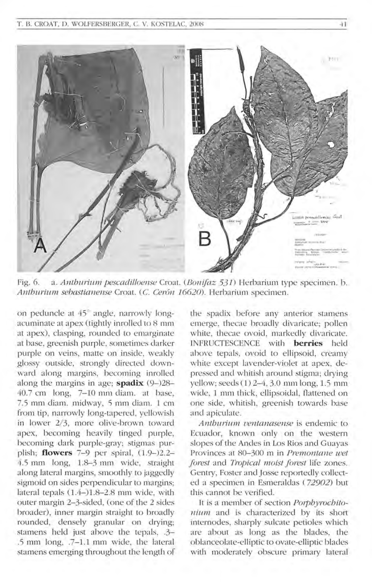

Fig. 6. a. *Anthurium pescadilloense Croat. (Bonifaz 531)* Herbarium type specimen. b. *Anthuriu m sebaslianense* Croat. (c. *Cer6n 16620).* Herbarium specimen.

on peduncle at 45° angle, narrowly longacuminate at apex (tightly inrollecl to 8 mm at apex), clasping, rounded to emarginate at base, greenish purple, sometimes darker purple on veins, matte on inside, weakly glossy outside, strongly directed down ward along margins, becoming inrolled along the margins in age; **spadix** (9-)28- 40.7 cm long, 7-10 mm diam. at base, 7.5 mm diam. midway, 5 mm diam. 1 cm from tip, narrowly long-tapered, yellowish in lower 2/3, more olive-brown toward apex, becoming heavily tinged purple, becoming dark purple-gray; stigmas purplish; **flowers** 7-9 per spiral,  $(1.9-)2.2-$ 4.5 mm long, 1.8-3 mm wide, straight along lateral margins, smoothly to jaggedly sigmoid on sides perpendicular to margins; lateral tepals  $(1.4–)1.8–2.8 \text{ mm}$  wide, with outer margin 2-3-sided, (one of the 2 sides broader), inner margin straight to broadly rounded, densely granular on drying; stamens held just above the tepals, .3-.5 mm long, .7-1.1 mm wide, the lateral stamens emerging throughout the length of

the spadix before any anterior stamens emerge, thecae broadly divaricate; pollen white, thecae ovoid, markedly divaricate. TNFHUCTESCENCE w ith **berries** held above tepals, ovoid to ellipsoid, creamy white except lavender-violet at apex, depressed and whitish around stigma; drying yellow; seeds (1) 2-4, 3.0 mm long, 15 mm wide, 1 mm thick, ellipsoidal, flattened on one side, whitish, greenish towards base and apiculate.

*Anthurium ventanasense* is endemic to Ecuador, known only on the western slopes of the Andes in Los Rios and Guayas Provinces at 80-300 m in *Premontane wet f orest* and *Tropical moist f orest* life zones. Gentry, Foster and Josse reportedly collected a specimen in Esmeraldas *( 72902)* but this cannot be verified.

It is a member of section *Porphyrochitonium* and is characterized by its short internodes, sharply sulcate petioles which are about as long as the blades, the oblanceolate-ell iptic to ovate-elliptic blades with moderately obscure primary lateral